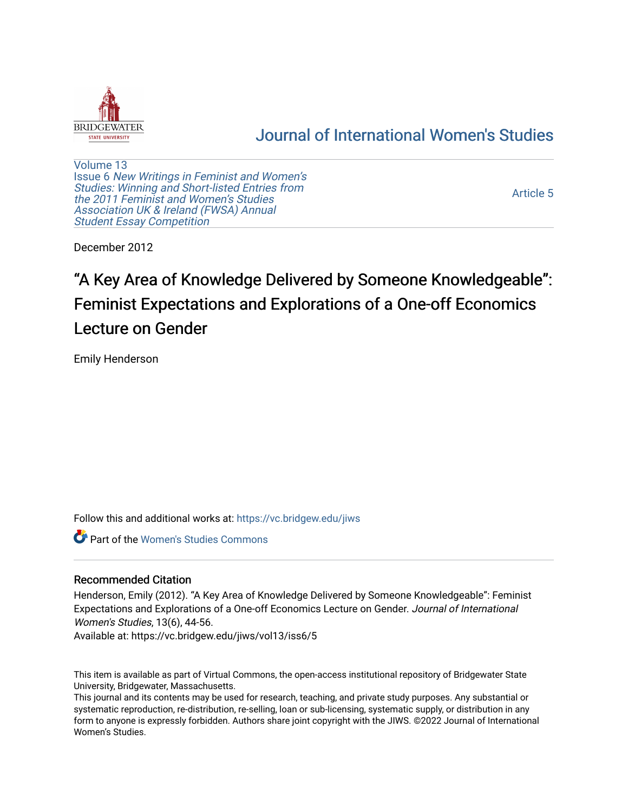

# [Journal of International Women's Studies](https://vc.bridgew.edu/jiws)

[Volume 13](https://vc.bridgew.edu/jiws/vol13) Issue 6 [New Writings in Feminist and Women's](https://vc.bridgew.edu/jiws/vol13/iss6)  [Studies: Winning and Short-listed Entries from](https://vc.bridgew.edu/jiws/vol13/iss6)  [the 2011 Feminist and Women's Studies](https://vc.bridgew.edu/jiws/vol13/iss6)  [Association UK & Ireland \(FWSA\) Annual](https://vc.bridgew.edu/jiws/vol13/iss6)  [Student Essay Competition](https://vc.bridgew.edu/jiws/vol13/iss6) 

[Article 5](https://vc.bridgew.edu/jiws/vol13/iss6/5) 

December 2012

# "A Key Area of Knowledge Delivered by Someone Knowledgeable": Feminist Expectations and Explorations of a One-off Economics Lecture on Gender

Emily Henderson

Follow this and additional works at: [https://vc.bridgew.edu/jiws](https://vc.bridgew.edu/jiws?utm_source=vc.bridgew.edu%2Fjiws%2Fvol13%2Fiss6%2F5&utm_medium=PDF&utm_campaign=PDFCoverPages)

**C** Part of the Women's Studies Commons

#### Recommended Citation

Henderson, Emily (2012). "A Key Area of Knowledge Delivered by Someone Knowledgeable": Feminist Expectations and Explorations of a One-off Economics Lecture on Gender. Journal of International Women's Studies, 13(6), 44-56.

Available at: https://vc.bridgew.edu/jiws/vol13/iss6/5

This item is available as part of Virtual Commons, the open-access institutional repository of Bridgewater State University, Bridgewater, Massachusetts.

This journal and its contents may be used for research, teaching, and private study purposes. Any substantial or systematic reproduction, re-distribution, re-selling, loan or sub-licensing, systematic supply, or distribution in any form to anyone is expressly forbidden. Authors share joint copyright with the JIWS. ©2022 Journal of International Women's Studies.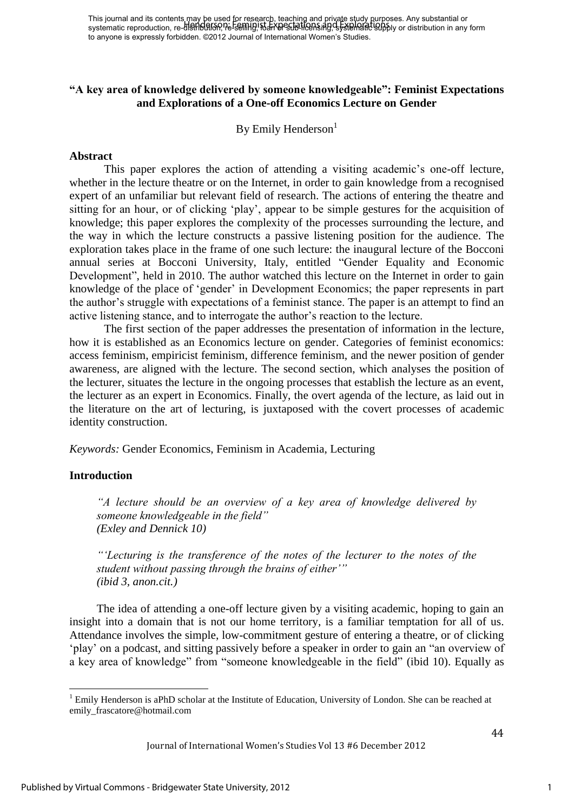### **"A key area of knowledge delivered by someone knowledgeable": Feminist Expectations and Explorations of a One-off Economics Lecture on Gender**

By Emily Henderson $<sup>1</sup>$ </sup>

#### **Abstract**

This paper explores the action of attending a visiting academic"s one-off lecture, whether in the lecture theatre or on the Internet, in order to gain knowledge from a recognised expert of an unfamiliar but relevant field of research. The actions of entering the theatre and sitting for an hour, or of clicking 'play', appear to be simple gestures for the acquisition of knowledge; this paper explores the complexity of the processes surrounding the lecture, and the way in which the lecture constructs a passive listening position for the audience. The exploration takes place in the frame of one such lecture: the inaugural lecture of the Bocconi annual series at Bocconi University, Italy, entitled "Gender Equality and Economic Development", held in 2010. The author watched this lecture on the Internet in order to gain knowledge of the place of "gender" in Development Economics; the paper represents in part the author"s struggle with expectations of a feminist stance. The paper is an attempt to find an active listening stance, and to interrogate the author"s reaction to the lecture.

The first section of the paper addresses the presentation of information in the lecture, how it is established as an Economics lecture on gender. Categories of feminist economics: access feminism, empiricist feminism, difference feminism, and the newer position of gender awareness, are aligned with the lecture. The second section, which analyses the position of the lecturer, situates the lecture in the ongoing processes that establish the lecture as an event, the lecturer as an expert in Economics. Finally, the overt agenda of the lecture, as laid out in the literature on the art of lecturing, is juxtaposed with the covert processes of academic identity construction.

*Keywords:* Gender Economics, Feminism in Academia, Lecturing

#### **Introduction**

l

*"A lecture should be an overview of a key area of knowledge delivered by someone knowledgeable in the field" [\(Exley and Dennick 10\)](#page-13-0)* 

*""Lecturing is the transference of the notes of the lecturer to the notes of the student without passing through the brains of either"" [\(ibid 3, anon.cit.\)](#page-13-0)* 

The idea of attending a one-off lecture given by a visiting academic, hoping to gain an insight into a domain that is not our home territory, is a familiar temptation for all of us. Attendance involves the simple, low-commitment gesture of entering a theatre, or of clicking "play" on a podcast, and sitting passively before a speaker in order to gain an "an overview of a key area of knowledge" from "someone knowledgeable in the field" [\(ibid 10\)](#page-13-0). Equally as

<sup>&</sup>lt;sup>1</sup> Emily Henderson is aPhD scholar at the Institute of Education, University of London. She can be reached at emily\_frascatore@hotmail.com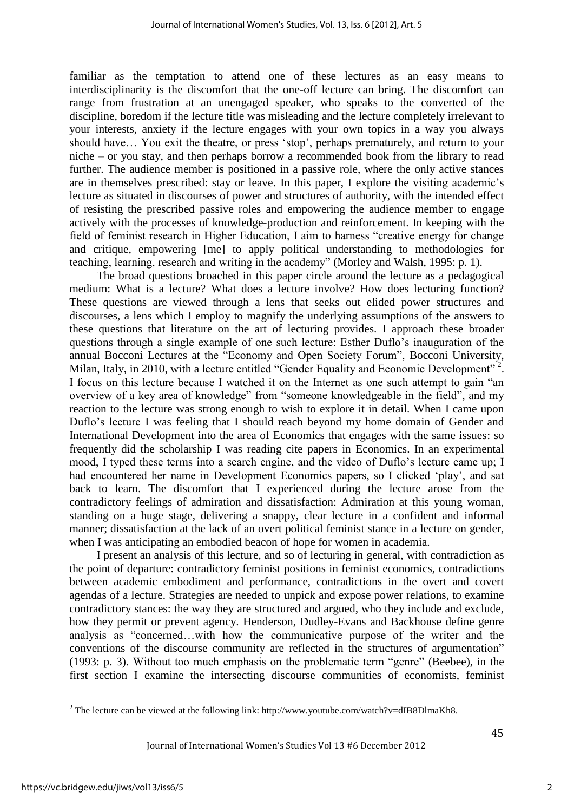familiar as the temptation to attend one of these lectures as an easy means to interdisciplinarity is the discomfort that the one-off lecture can bring. The discomfort can range from frustration at an unengaged speaker, who speaks to the converted of the discipline, boredom if the lecture title was misleading and the lecture completely irrelevant to your interests, anxiety if the lecture engages with your own topics in a way you always should have... You exit the theatre, or press 'stop', perhaps prematurely, and return to your niche – or you stay, and then perhaps borrow a recommended book from the library to read further. The audience member is positioned in a passive role, where the only active stances are in themselves prescribed: stay or leave. In this paper, I explore the visiting academic's lecture as situated in discourses of power and structures of authority, with the intended effect of resisting the prescribed passive roles and empowering the audience member to engage actively with the processes of knowledge-production and reinforcement. In keeping with the field of feminist research in Higher Education, I aim to harness "creative energy for change and critique, empowering [me] to apply political understanding to methodologies for teaching, learning, research and writing in the academy" [\(Morley and Walsh, 1995: p. 1\)](#page-13-1).

The broad questions broached in this paper circle around the lecture as a pedagogical medium: What is a lecture? What does a lecture involve? How does lecturing function? These questions are viewed through a lens that seeks out elided power structures and discourses, a lens which I employ to magnify the underlying assumptions of the answers to these questions that literature on the art of lecturing provides. I approach these broader questions through a single example of one such lecture: Esther Duflo"s inauguration of the annual Bocconi Lectures at the "Economy and Open Society Forum", Bocconi University, Milan, Italy, in 2010, with a lecture entitled "Gender Equality and Economic Development"<sup>2</sup>. I focus on this lecture because I watched it on the Internet as one such attempt to gain "an overview of a key area of knowledge" from "someone knowledgeable in the field", and my reaction to the lecture was strong enough to wish to explore it in detail. When I came upon Duflo"s lecture I was feeling that I should reach beyond my home domain of Gender and International Development into the area of Economics that engages with the same issues: so frequently did the scholarship I was reading cite papers in Economics. In an experimental mood, I typed these terms into a search engine, and the video of Duflo"s lecture came up; I had encountered her name in Development Economics papers, so I clicked 'play', and sat back to learn. The discomfort that I experienced during the lecture arose from the contradictory feelings of admiration and dissatisfaction: Admiration at this young woman, standing on a huge stage, delivering a snappy, clear lecture in a confident and informal manner; dissatisfaction at the lack of an overt political feminist stance in a lecture on gender, when I was anticipating an embodied beacon of hope for women in academia.

I present an analysis of this lecture, and so of lecturing in general, with contradiction as the point of departure: contradictory feminist positions in feminist economics, contradictions between academic embodiment and performance, contradictions in the overt and covert agendas of a lecture. Strategies are needed to unpick and expose power relations, to examine contradictory stances: the way they are structured and argued, who they include and exclude, how they permit or prevent agency. Henderson, Dudley-Evans and Backhouse define genre analysis as "concerned…with how the communicative purpose of the writer and the conventions of the discourse community are reflected in the structures of argumentation" (1993: p. [3\)](#page-13-2). Without too much emphasis on the problematic term "genre" [\(Beebee\)](#page-12-0), in the first section I examine the intersecting discourse communities of economists, feminist

<sup>&</sup>lt;sup>2</sup> The lecture can be viewed at the following link: http://www.youtube.com/watch?v=dIB8DlmaKh8.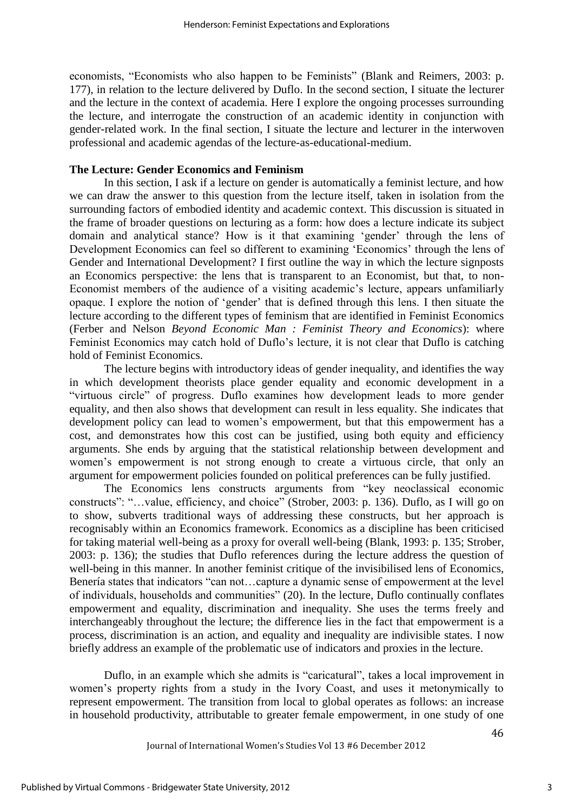economists, "Economists who also happen to be Feminists" [\(Blank and Reimers, 2003: p.](#page-12-1)  [177\)](#page-12-1), in relation to the lecture delivered by Duflo. In the second section, I situate the lecturer and the lecture in the context of academia. Here I explore the ongoing processes surrounding the lecture, and interrogate the construction of an academic identity in conjunction with gender-related work. In the final section, I situate the lecture and lecturer in the interwoven professional and academic agendas of the lecture-as-educational-medium.

#### **The Lecture: Gender Economics and Feminism**

In this section, I ask if a lecture on gender is automatically a feminist lecture, and how we can draw the answer to this question from the lecture itself, taken in isolation from the surrounding factors of embodied identity and academic context. This discussion is situated in the frame of broader questions on lecturing as a form: how does a lecture indicate its subject domain and analytical stance? How is it that examining "gender" through the lens of Development Economics can feel so different to examining 'Economics' through the lens of Gender and International Development? I first outline the way in which the lecture signposts an Economics perspective: the lens that is transparent to an Economist, but that, to non-Economist members of the audience of a visiting academic's lecture, appears unfamiliarly opaque. I explore the notion of "gender" that is defined through this lens. I then situate the lecture according to the different types of feminism that are identified in Feminist Economics (Ferber and Nelson *[Beyond Economic Man : Feminist Theory and Economics](#page-13-3)*): where Feminist Economics may catch hold of Duflo's lecture, it is not clear that Duflo is catching hold of Feminist Economics.

The lecture begins with introductory ideas of gender inequality, and identifies the way in which development theorists place gender equality and economic development in a "virtuous circle" of progress. Duflo examines how development leads to more gender equality, and then also shows that development can result in less equality. She indicates that development policy can lead to women"s empowerment, but that this empowerment has a cost, and demonstrates how this cost can be justified, using both equity and efficiency arguments. She ends by arguing that the statistical relationship between development and women"s empowerment is not strong enough to create a virtuous circle, that only an argument for empowerment policies founded on political preferences can be fully justified.

The Economics lens constructs arguments from "key neoclassical economic constructs": "…value, efficiency, and choice" [\(Strober, 2003: p. 136\)](#page-13-4). Duflo, as I will go on to show, subverts traditional ways of addressing these constructs, but her approach is recognisably within an Economics framework. Economics as a discipline has been criticised for taking material well-being as a proxy for overall well-being [\(Blank, 1993: p. 135;](#page-12-2) [Strober,](#page-13-4)  [2003: p. 136\)](#page-13-4); the studies that Duflo references during the lecture address the question of well-being in this manner. In another feminist critique of the invisibilised lens of Economics, Benería states that indicators "can not…capture a dynamic sense of empowerment at the level of individuals, households and communities" [\(20\)](#page-12-3). In the lecture, Duflo continually conflates empowerment and equality, discrimination and inequality. She uses the terms freely and interchangeably throughout the lecture; the difference lies in the fact that empowerment is a process, discrimination is an action, and equality and inequality are indivisible states. I now briefly address an example of the problematic use of indicators and proxies in the lecture.

Duflo, in an example which she admits is "caricatural", takes a local improvement in women"s property rights from a study in the Ivory Coast, and uses it metonymically to represent empowerment. The transition from local to global operates as follows: an increase in household productivity, attributable to greater female empowerment, in one study of one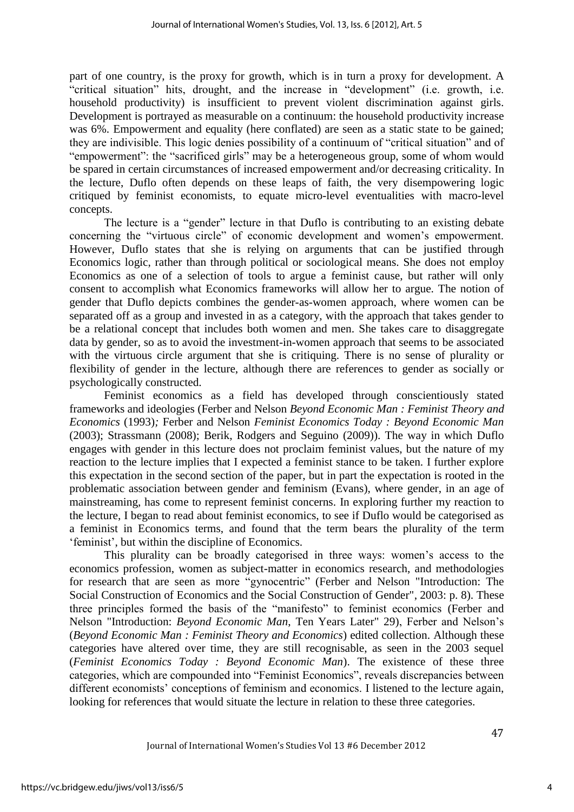part of one country, is the proxy for growth, which is in turn a proxy for development. A "critical situation" hits, drought, and the increase in "development" (i.e. growth, i.e. household productivity) is insufficient to prevent violent discrimination against girls. Development is portrayed as measurable on a continuum: the household productivity increase was 6%. Empowerment and equality (here conflated) are seen as a static state to be gained; they are indivisible. This logic denies possibility of a continuum of "critical situation" and of "empowerment": the "sacrificed girls" may be a heterogeneous group, some of whom would be spared in certain circumstances of increased empowerment and/or decreasing criticality. In the lecture, Duflo often depends on these leaps of faith, the very disempowering logic critiqued by feminist economists, to equate micro-level eventualities with macro-level concepts.

The lecture is a "gender" lecture in that Duflo is contributing to an existing debate concerning the "virtuous circle" of economic development and women"s empowerment. However, Duflo states that she is relying on arguments that can be justified through Economics logic, rather than through political or sociological means. She does not employ Economics as one of a selection of tools to argue a feminist cause, but rather will only consent to accomplish what Economics frameworks will allow her to argue. The notion of gender that Duflo depicts combines the gender-as-women approach, where women can be separated off as a group and invested in as a category, with the approach that takes gender to be a relational concept that includes both women and men. She takes care to disaggregate data by gender, so as to avoid the investment-in-women approach that seems to be associated with the virtuous circle argument that she is critiquing. There is no sense of plurality or flexibility of gender in the lecture, although there are references to gender as socially or psychologically constructed.

Feminist economics as a field has developed through conscientiously stated frameworks and ideologies (Ferber and Nelson *[Beyond Economic Man : Feminist Theory and](#page-13-3)  [Economics](#page-13-3)* (1993)*;* Ferber and Nelson *[Feminist Economics Today : Beyond Economic Man](#page-13-5)* [\(2003\);](#page-13-5) [Strassmann \(2008\);](#page-13-6) [Berik, Rodgers and Seguino \(2009\)\)](#page-12-4). The way in which Duflo engages with gender in this lecture does not proclaim feminist values, but the nature of my reaction to the lecture implies that I expected a feminist stance to be taken. I further explore this expectation in the second section of the paper, but in part the expectation is rooted in the problematic association between gender and feminism [\(Evans\)](#page-13-7), where gender, in an age of mainstreaming, has come to represent feminist concerns. In exploring further my reaction to the lecture, I began to read about feminist economics, to see if Duflo would be categorised as a feminist in Economics terms, and found that the term bears the plurality of the term "feminist", but within the discipline of Economics.

This plurality can be broadly categorised in three ways: women"s access to the economics profession, women as subject-matter in economics research, and methodologies for research that are seen as more "gynocentric" [\(Ferber and Nelson "Introduction: The](#page-13-8)  [Social Construction of Economics and the Social Construction of Gender",](#page-13-8) 2003: p. 8). These three principles formed the basis of the "manifesto" to feminist economics [\(Ferber and](#page-13-9)  Nelson "Introduction: *[Beyond Economic Man](#page-13-9)*, Ten Years Later" 29), Ferber and Nelson"s (*[Beyond Economic Man : Feminist Theory and Economics](#page-13-3)*) edited collection. Although these categories have altered over time, they are still recognisable, as seen in the 2003 sequel (*[Feminist Economics Today : Beyond Economic Man](#page-13-5)*). The existence of these three categories, which are compounded into "Feminist Economics", reveals discrepancies between different economists' conceptions of feminism and economics. I listened to the lecture again, looking for references that would situate the lecture in relation to these three categories.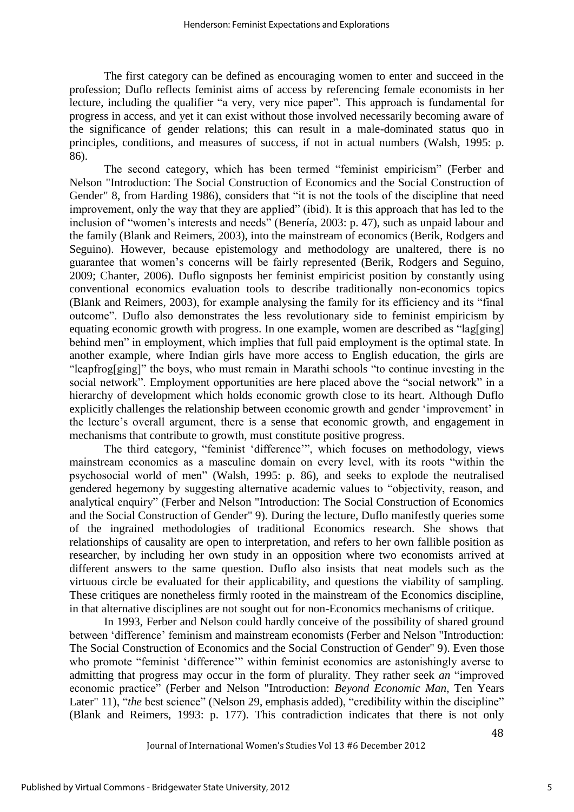The first category can be defined as encouraging women to enter and succeed in the profession; Duflo reflects feminist aims of access by referencing female economists in her lecture, including the qualifier "a very, very nice paper". This approach is fundamental for progress in access, and yet it can exist without those involved necessarily becoming aware of the significance of gender relations; this can result in a male-dominated status quo in principles, conditions, and measures of success, if not in actual numbers [\(Walsh, 1995: p.](#page-13-10)  [86\)](#page-13-10).

The second category, which has been termed "feminist empiricism" [\(Ferber and](#page-13-8)  [Nelson "Introduction: The Social Construction of Economics and the Social Construction of](#page-13-8)  [Gender" 8, from Harding 1986\)](#page-13-8), considers that "it is not the tools of the discipline that need improvement, only the way that they are applied" (ibid). It is this approach that has led to the inclusion of "women"s interests and needs" [\(Benería, 2003: p. 47\)](#page-12-3), such as unpaid labour and the family [\(Blank and Reimers,](#page-12-1) 2003), into the mainstream of economics [\(Berik, Rodgers and](#page-12-4)  [Seguino\)](#page-12-4). However, because epistemology and methodology are unaltered, there is no guarantee that women"s concerns will be fairly represented [\(Berik, Rodgers and Seguino,](#page-12-4) 2009; [Chanter,](#page-13-11) 2006). Duflo signposts her feminist empiricist position by constantly using conventional economics evaluation tools to describe traditionally non-economics topics [\(Blank and Reimers,](#page-12-1) 2003), for example analysing the family for its efficiency and its "final outcome". Duflo also demonstrates the less revolutionary side to feminist empiricism by equating economic growth with progress. In one example, women are described as "lag[ging] behind men" in employment, which implies that full paid employment is the optimal state. In another example, where Indian girls have more access to English education, the girls are "leapfrog[ging]" the boys, who must remain in Marathi schools "to continue investing in the social network". Employment opportunities are here placed above the "social network" in a hierarchy of development which holds economic growth close to its heart. Although Duflo explicitly challenges the relationship between economic growth and gender 'improvement' in the lecture"s overall argument, there is a sense that economic growth, and engagement in mechanisms that contribute to growth, must constitute positive progress.

The third category, "feminist "difference"", which focuses on methodology, views mainstream economics as a masculine domain on every level, with its roots "within the psychosocial world of men" [\(Walsh, 1995: p. 86\)](#page-13-10), and seeks to explode the neutralised gendered hegemony by suggesting alternative academic values to "objectivity, reason, and analytical enquiry" [\(Ferber and Nelson "Introduction: The Social Construction of Economics](#page-13-8)  [and the Social Construction of Gender" 9\)](#page-13-8). During the lecture, Duflo manifestly queries some of the ingrained methodologies of traditional Economics research. She shows that relationships of causality are open to interpretation, and refers to her own fallible position as researcher, by including her own study in an opposition where two economists arrived at different answers to the same question. Duflo also insists that neat models such as the virtuous circle be evaluated for their applicability, and questions the viability of sampling. These critiques are nonetheless firmly rooted in the mainstream of the Economics discipline, in that alternative disciplines are not sought out for non-Economics mechanisms of critique.

In 1993, Ferber and Nelson could hardly conceive of the possibility of shared ground between "difference" feminism and mainstream economists [\(Ferber and Nelson "Introduction:](#page-13-8)  [The Social Construction of Economics and the Social Construction of Gender" 9\)](#page-13-8). Even those who promote "feminist 'difference"" within feminist economics are astonishingly averse to admitting that progress may occur in the form of plurality. They rather seek *an* "improved economic practice" [\(Ferber and Nelson "Introduction:](#page-13-9) *Beyond Economic Man*, Ten Years [Later" 11\)](#page-13-9), "*the* best science" [\(Nelson 29, emphasis added\)](#page-13-12), "credibility within the discipline" [\(Blank and Reimers, 1993: p. 177\)](#page-12-1). This contradiction indicates that there is not only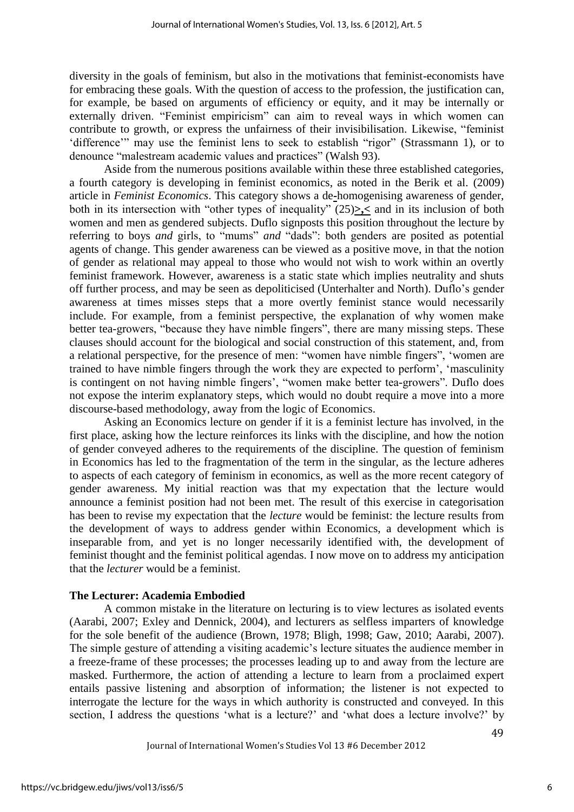diversity in the goals of feminism, but also in the motivations that feminist-economists have for embracing these goals. With the question of access to the profession, the justification can, for example, be based on arguments of efficiency or equity, and it may be internally or externally driven. "Feminist empiricism" can aim to reveal ways in which women can contribute to growth, or express the unfairness of their invisibilisation. Likewise, "feminist "difference"" may use the feminist lens to seek to establish "rigor" [\(Strassmann 1\)](#page-13-6), or to denounce "malestream academic values and practices" [\(Walsh 93\)](#page-13-10).

Aside from the numerous positions available within these three established categories, a fourth category is developing in feminist economics, as noted in the Berik et al. (2009) article in *Feminist Economics*. This category shows a de**-**homogenising awareness of gender, both in its intersection with "other types of inequality" [\(25\)](#page-12-4)**>,<** and in its inclusion of both women and men as gendered subjects. Duflo signposts this position throughout the lecture by referring to boys *and* girls, to "mums" *and* "dads": both genders are posited as potential agents of change. This gender awareness can be viewed as a positive move, in that the notion of gender as relational may appeal to those who would not wish to work within an overtly feminist framework. However, awareness is a static state which implies neutrality and shuts off further process, and may be seen as depoliticised [\(Unterhalter and North\)](#page-13-13). Duflo"s gender awareness at times misses steps that a more overtly feminist stance would necessarily include. For example, from a feminist perspective, the explanation of why women make better tea-growers, "because they have nimble fingers", there are many missing steps. These clauses should account for the biological and social construction of this statement, and, from a relational perspective, for the presence of men: "women have nimble fingers", "women are trained to have nimble fingers through the work they are expected to perform", "masculinity is contingent on not having nimble fingers', "women make better tea-growers". Duflo does not expose the interim explanatory steps, which would no doubt require a move into a more discourse-based methodology, away from the logic of Economics.

Asking an Economics lecture on gender if it is a feminist lecture has involved, in the first place, asking how the lecture reinforces its links with the discipline, and how the notion of gender conveyed adheres to the requirements of the discipline. The question of feminism in Economics has led to the fragmentation of the term in the singular, as the lecture adheres to aspects of each category of feminism in economics, as well as the more recent category of gender awareness. My initial reaction was that my expectation that the lecture would announce a feminist position had not been met. The result of this exercise in categorisation has been to revise my expectation that the *lecture* would be feminist: the lecture results from the development of ways to address gender within Economics, a development which is inseparable from, and yet is no longer necessarily identified with, the development of feminist thought and the feminist political agendas. I now move on to address my anticipation that the *lecturer* would be a feminist.

#### **The Lecturer: Academia Embodied**

A common mistake in the literature on lecturing is to view lectures as isolated events [\(Aarabi,](#page-12-5) 2007; [Exley and Dennick,](#page-13-0) 2004), and lecturers as selfless imparters of knowledge for the sole benefit of the audience [\(Brown,](#page-12-6) 1978; [Bligh,](#page-12-7) 1998; [Gaw,](#page-13-14) 2010; [Aarabi,](#page-12-5) 2007). The simple gesture of attending a visiting academic's lecture situates the audience member in a freeze-frame of these processes; the processes leading up to and away from the lecture are masked. Furthermore, the action of attending a lecture to learn from a proclaimed expert entails passive listening and absorption of information; the listener is not expected to interrogate the lecture for the ways in which authority is constructed and conveyed. In this section, I address the questions 'what is a lecture?' and 'what does a lecture involve?' by

Journal of International Women's Studies Vol 13 #6 December 2012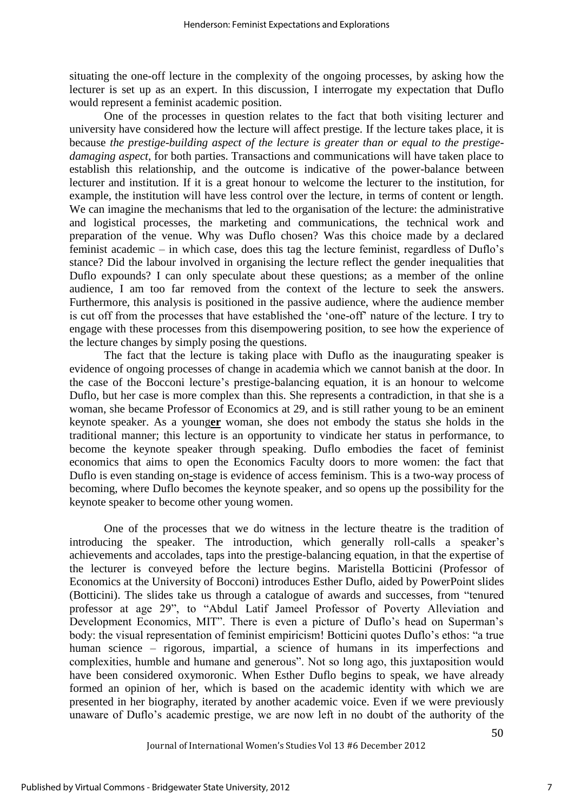situating the one-off lecture in the complexity of the ongoing processes, by asking how the lecturer is set up as an expert. In this discussion, I interrogate my expectation that Duflo would represent a feminist academic position.

One of the processes in question relates to the fact that both visiting lecturer and university have considered how the lecture will affect prestige. If the lecture takes place, it is because *the prestige-building aspect of the lecture is greater than or equal to the prestigedamaging aspect*, for both parties. Transactions and communications will have taken place to establish this relationship, and the outcome is indicative of the power-balance between lecturer and institution. If it is a great honour to welcome the lecturer to the institution, for example, the institution will have less control over the lecture, in terms of content or length. We can imagine the mechanisms that led to the organisation of the lecture: the administrative and logistical processes, the marketing and communications, the technical work and preparation of the venue. Why was Duflo chosen? Was this choice made by a declared feminist academic – in which case, does this tag the lecture feminist, regardless of Duflo"s stance? Did the labour involved in organising the lecture reflect the gender inequalities that Duflo expounds? I can only speculate about these questions; as a member of the online audience, I am too far removed from the context of the lecture to seek the answers. Furthermore, this analysis is positioned in the passive audience, where the audience member is cut off from the processes that have established the "one-off" nature of the lecture. I try to engage with these processes from this disempowering position, to see how the experience of the lecture changes by simply posing the questions.

The fact that the lecture is taking place with Duflo as the inaugurating speaker is evidence of ongoing processes of change in academia which we cannot banish at the door. In the case of the Bocconi lecture's prestige-balancing equation, it is an honour to welcome Duflo, but her case is more complex than this. She represents a contradiction, in that she is a woman, she became Professor of Economics at 29, and is still rather young to be an eminent keynote speaker. As a young**er** woman, she does not embody the status she holds in the traditional manner; this lecture is an opportunity to vindicate her status in performance, to become the keynote speaker through speaking. Duflo embodies the facet of feminist economics that aims to open the Economics Faculty doors to more women: the fact that Duflo is even standing on**-**stage is evidence of access feminism. This is a two-way process of becoming, where Duflo becomes the keynote speaker, and so opens up the possibility for the keynote speaker to become other young women.

One of the processes that we do witness in the lecture theatre is the tradition of introducing the speaker. The introduction, which generally roll-calls a speaker's achievements and accolades, taps into the prestige-balancing equation, in that the expertise of the lecturer is conveyed before the lecture begins. Maristella Botticini (Professor of Economics at the University of Bocconi) introduces Esther Duflo, aided by PowerPoint slides [\(Botticini\)](#page-12-8). The slides take us through a catalogue of awards and successes, from "tenured professor at age 29", to "Abdul Latif Jameel Professor of Poverty Alleviation and Development Economics, MIT". There is even a picture of Duflo's head on Superman's body: the visual representation of feminist empiricism! Botticini quotes Duflo's ethos: "a true human science – rigorous, impartial, a science of humans in its imperfections and complexities, humble and humane and generous". Not so long ago, this juxtaposition would have been considered oxymoronic. When Esther Duflo begins to speak, we have already formed an opinion of her, which is based on the academic identity with which we are presented in her biography, iterated by another academic voice. Even if we were previously unaware of Duflo"s academic prestige, we are now left in no doubt of the authority of the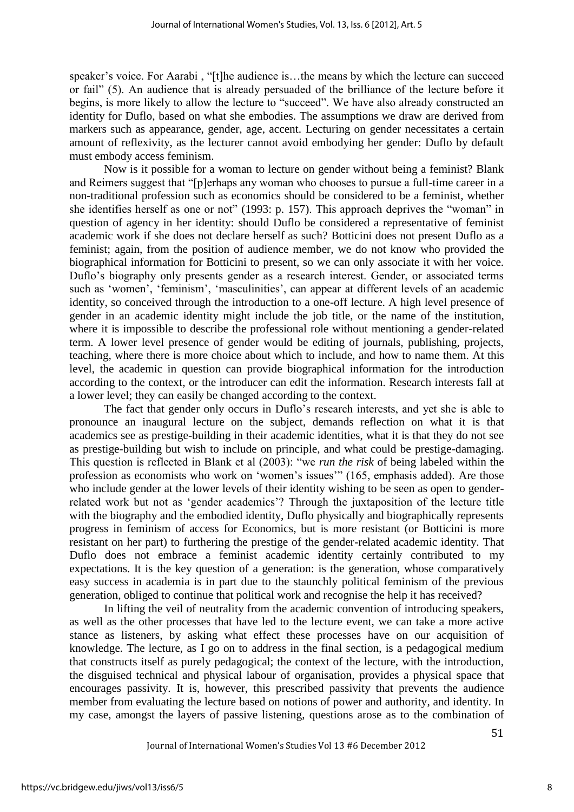speaker's voice. For Aarabi, "[t]he audience is...the means by which the lecture can succeed or fail" (5). An audience that is already persuaded of the brilliance of the lecture before it begins, is more likely to allow the lecture to "succeed". We have also already constructed an identity for Duflo, based on what she embodies. The assumptions we draw are derived from markers such as appearance, gender, age, accent. Lecturing on gender necessitates a certain amount of reflexivity, as the lecturer cannot avoid embodying her gender: Duflo by default must embody access feminism.

Now is it possible for a woman to lecture on gender without being a feminist? Blank and Reimers suggest that "[p]erhaps any woman who chooses to pursue a full-time career in a non-traditional profession such as economics should be considered to be a feminist, whether she identifies herself as one or not" (1993: p. [157\)](#page-12-1). This approach deprives the "woman" in question of agency in her identity: should Duflo be considered a representative of feminist academic work if she does not declare herself as such? Botticini does not present Duflo as a feminist; again, from the position of audience member, we do not know who provided the biographical information for Botticini to present, so we can only associate it with her voice. Duflo"s biography only presents gender as a research interest. Gender, or associated terms such as 'women', 'feminism', 'masculinities', can appear at different levels of an academic identity, so conceived through the introduction to a one-off lecture. A high level presence of gender in an academic identity might include the job title, or the name of the institution, where it is impossible to describe the professional role without mentioning a gender-related term. A lower level presence of gender would be editing of journals, publishing, projects, teaching, where there is more choice about which to include, and how to name them. At this level, the academic in question can provide biographical information for the introduction according to the context, or the introducer can edit the information. Research interests fall at a lower level; they can easily be changed according to the context.

The fact that gender only occurs in Duflo"s research interests, and yet she is able to pronounce an inaugural lecture on the subject, demands reflection on what it is that academics see as prestige-building in their academic identities, what it is that they do not see as prestige-building but wish to include on principle, and what could be prestige-damaging. This question is reflected in Blank et al (2003): "we *run the risk* of being labeled within the profession as economists who work on 'women's issues'" (165, emphasis added). Are those who include gender at the lower levels of their identity wishing to be seen as open to genderrelated work but not as "gender academics"? Through the juxtaposition of the lecture title with the biography and the embodied identity, Duflo physically and biographically represents progress in feminism of access for Economics, but is more resistant (or Botticini is more resistant on her part) to furthering the prestige of the gender-related academic identity. That Duflo does not embrace a feminist academic identity certainly contributed to my expectations. It is the key question of a generation: is the generation, whose comparatively easy success in academia is in part due to the staunchly political feminism of the previous generation, obliged to continue that political work and recognise the help it has received?

In lifting the veil of neutrality from the academic convention of introducing speakers, as well as the other processes that have led to the lecture event, we can take a more active stance as listeners, by asking what effect these processes have on our acquisition of knowledge. The lecture, as I go on to address in the final section, is a pedagogical medium that constructs itself as purely pedagogical; the context of the lecture, with the introduction, the disguised technical and physical labour of organisation, provides a physical space that encourages passivity. It is, however, this prescribed passivity that prevents the audience member from evaluating the lecture based on notions of power and authority, and identity. In my case, amongst the layers of passive listening, questions arose as to the combination of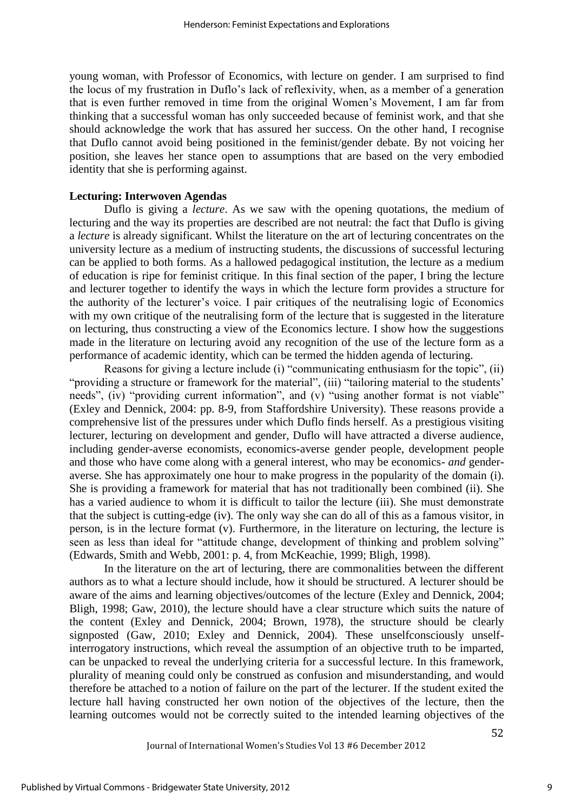young woman, with Professor of Economics, with lecture on gender. I am surprised to find the locus of my frustration in Duflo"s lack of reflexivity, when, as a member of a generation that is even further removed in time from the original Women"s Movement, I am far from thinking that a successful woman has only succeeded because of feminist work, and that she should acknowledge the work that has assured her success. On the other hand, I recognise that Duflo cannot avoid being positioned in the feminist/gender debate. By not voicing her position, she leaves her stance open to assumptions that are based on the very embodied identity that she is performing against.

#### **Lecturing: Interwoven Agendas**

Duflo is giving a *lecture*. As we saw with the opening quotations, the medium of lecturing and the way its properties are described are not neutral: the fact that Duflo is giving a *lecture* is already significant. Whilst the literature on the art of lecturing concentrates on the university lecture as a medium of instructing students, the discussions of successful lecturing can be applied to both forms. As a hallowed pedagogical institution, the lecture as a medium of education is ripe for feminist critique. In this final section of the paper, I bring the lecture and lecturer together to identify the ways in which the lecture form provides a structure for the authority of the lecturer"s voice. I pair critiques of the neutralising logic of Economics with my own critique of the neutralising form of the lecture that is suggested in the literature on lecturing, thus constructing a view of the Economics lecture. I show how the suggestions made in the literature on lecturing avoid any recognition of the use of the lecture form as a performance of academic identity, which can be termed the hidden agenda of lecturing.

Reasons for giving a lecture include (i) "communicating enthusiasm for the topic", (ii) "providing a structure or framework for the material", (iii) "tailoring material to the students" needs", (iv) "providing current information", and (v) "using another format is not viable" [\(Exley and Dennick, 2004: pp. 8-9, from Staffordshire University\)](#page-13-0). These reasons provide a comprehensive list of the pressures under which Duflo finds herself. As a prestigious visiting lecturer, lecturing on development and gender, Duflo will have attracted a diverse audience, including gender-averse economists, economics-averse gender people, development people and those who have come along with a general interest, who may be economics- *and* genderaverse. She has approximately one hour to make progress in the popularity of the domain (i). She is providing a framework for material that has not traditionally been combined (ii). She has a varied audience to whom it is difficult to tailor the lecture (iii). She must demonstrate that the subject is cutting-edge (iv). The only way she can do all of this as a famous visitor, in person, is in the lecture format (v). Furthermore, in the literature on lecturing, the lecture is seen as less than ideal for "attitude change, development of thinking and problem solving" [\(Edwards, Smith and Webb, 2001: p. 4, from McKeachie,](#page-13-15) 1999; [Bligh,](#page-12-7) 1998).

In the literature on the art of lecturing, there are commonalities between the different authors as to what a lecture should include, how it should be structured. A lecturer should be aware of the aims and learning objectives/outcomes of the lecture [\(Exley and Dennick,](#page-13-0) 2004; [Bligh,](#page-12-7) 1998; [Gaw,](#page-13-14) 2010), the lecture should have a clear structure which suits the nature of the content [\(Exley and Dennick,](#page-13-0) 2004; [Brown,](#page-12-6) 1978), the structure should be clearly signposted [\(Gaw,](#page-13-14) 2010; [Exley and Dennick,](#page-13-0) 2004). These unselfconsciously unselfinterrogatory instructions, which reveal the assumption of an objective truth to be imparted, can be unpacked to reveal the underlying criteria for a successful lecture. In this framework, plurality of meaning could only be construed as confusion and misunderstanding, and would therefore be attached to a notion of failure on the part of the lecturer. If the student exited the lecture hall having constructed her own notion of the objectives of the lecture, then the learning outcomes would not be correctly suited to the intended learning objectives of the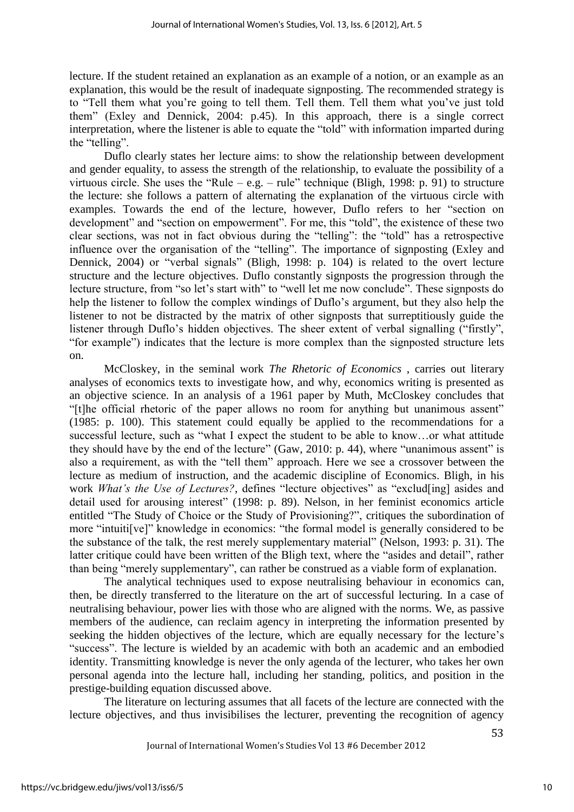lecture. If the student retained an explanation as an example of a notion, or an example as an explanation, this would be the result of inadequate signposting. The recommended strategy is to "Tell them what you"re going to tell them. Tell them. Tell them what you"ve just told them" (Exley and Dennick, 2004: p.45). In this approach, there is a single correct interpretation, where the listener is able to equate the "told" with information imparted during the "telling".

Duflo clearly states her lecture aims: to show the relationship between development and gender equality, to assess the strength of the relationship, to evaluate the possibility of a virtuous circle. She uses the "Rule – e.g. – rule" technique [\(Bligh, 1998: p. 91\)](#page-12-7) to structure the lecture: she follows a pattern of alternating the explanation of the virtuous circle with examples. Towards the end of the lecture, however, Duflo refers to her "section on development" and "section on empowerment". For me, this "told", the existence of these two clear sections, was not in fact obvious during the "telling": the "told" has a retrospective influence over the organisation of the "telling". The importance of signposting [\(Exley and](#page-13-0)  [Dennick,](#page-13-0) 2004) or "verbal signals" [\(Bligh, 1998: p. 104\)](#page-12-7) is related to the overt lecture structure and the lecture objectives. Duflo constantly signposts the progression through the lecture structure, from "so let's start with" to "well let me now conclude". These signposts do help the listener to follow the complex windings of Duflo"s argument, but they also help the listener to not be distracted by the matrix of other signposts that surreptitiously guide the listener through Duflo"s hidden objectives. The sheer extent of verbal signalling ("firstly", "for example") indicates that the lecture is more complex than the signposted structure lets on.

McCloskey, in the seminal work *The Rhetoric of Economics* , carries out literary analyses of economics texts to investigate how, and why, economics writing is presented as an objective science. In an analysis of a 1961 paper by Muth, McCloskey concludes that "[t]he official rhetoric of the paper allows no room for anything but unanimous assent" (1985: p. [100\)](#page-13-16). This statement could equally be applied to the recommendations for a successful lecture, such as "what I expect the student to be able to know…or what attitude they should have by the end of the lecture" [\(Gaw, 2010: p. 44\)](#page-13-14), where "unanimous assent" is also a requirement, as with the "tell them" approach. Here we see a crossover between the lecture as medium of instruction, and the academic discipline of Economics. Bligh, in his work *What's the Use of Lectures?*, defines "lecture objectives" as "exclud[ing] asides and detail used for arousing interest" (1998: p. [89\)](#page-12-7). Nelson, in her feminist economics article entitled "The Study of Choice or the Study of Provisioning?", critiques the subordination of more "intuiti[ve]" knowledge in economics: "the formal model is generally considered to be the substance of the talk, the rest merely supplementary material" (Nelson, 1993: p. [31\)](#page-13-12). The latter critique could have been written of the Bligh text, where the "asides and detail", rather than being "merely supplementary", can rather be construed as a viable form of explanation.

The analytical techniques used to expose neutralising behaviour in economics can, then, be directly transferred to the literature on the art of successful lecturing. In a case of neutralising behaviour, power lies with those who are aligned with the norms. We, as passive members of the audience, can reclaim agency in interpreting the information presented by seeking the hidden objectives of the lecture, which are equally necessary for the lecture's "success". The lecture is wielded by an academic with both an academic and an embodied identity. Transmitting knowledge is never the only agenda of the lecturer, who takes her own personal agenda into the lecture hall, including her standing, politics, and position in the prestige-building equation discussed above.

The literature on lecturing assumes that all facets of the lecture are connected with the lecture objectives, and thus invisibilises the lecturer, preventing the recognition of agency

Journal of International Women's Studies Vol 13 #6 December 2012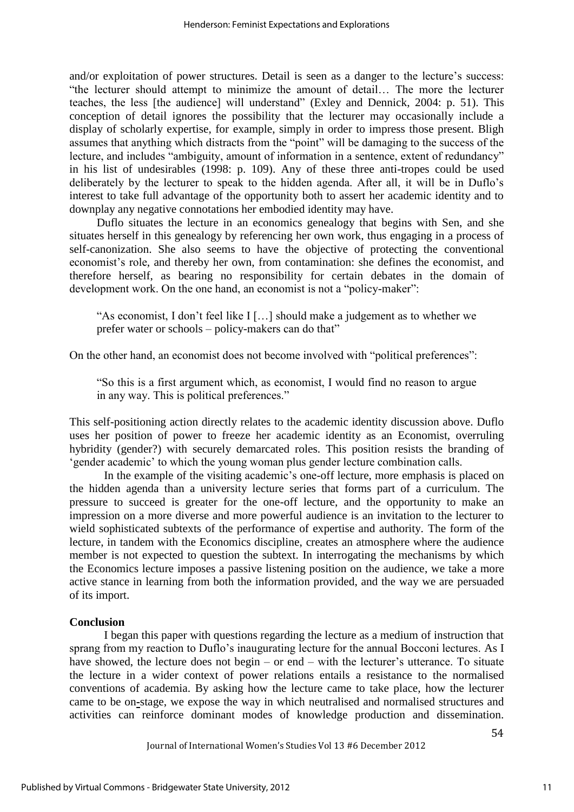and/or exploitation of power structures. Detail is seen as a danger to the lecture's success: "the lecturer should attempt to minimize the amount of detail… The more the lecturer teaches, the less [the audience] will understand" [\(Exley and Dennick, 2004: p. 51\)](#page-13-0). This conception of detail ignores the possibility that the lecturer may occasionally include a display of scholarly expertise, for example, simply in order to impress those present. Bligh assumes that anything which distracts from the "point" will be damaging to the success of the lecture, and includes "ambiguity, amount of information in a sentence, extent of redundancy" in his list of undesirables (1998: p. [109\)](#page-12-7). Any of these three anti-tropes could be used deliberately by the lecturer to speak to the hidden agenda. After all, it will be in Duflo's interest to take full advantage of the opportunity both to assert her academic identity and to downplay any negative connotations her embodied identity may have.

Duflo situates the lecture in an economics genealogy that begins with Sen, and she situates herself in this genealogy by referencing her own work, thus engaging in a process of self-canonization. She also seems to have the objective of protecting the conventional economist"s role, and thereby her own, from contamination: she defines the economist, and therefore herself, as bearing no responsibility for certain debates in the domain of development work. On the one hand, an economist is not a "policy-maker":

"As economist, I don"t feel like I […] should make a judgement as to whether we prefer water or schools – policy-makers can do that"

On the other hand, an economist does not become involved with "political preferences":

"So this is a first argument which, as economist, I would find no reason to argue in any way. This is political preferences."

This self-positioning action directly relates to the academic identity discussion above. Duflo uses her position of power to freeze her academic identity as an Economist, overruling hybridity (gender?) with securely demarcated roles. This position resists the branding of "gender academic" to which the young woman plus gender lecture combination calls.

In the example of the visiting academic's one-off lecture, more emphasis is placed on the hidden agenda than a university lecture series that forms part of a curriculum. The pressure to succeed is greater for the one-off lecture, and the opportunity to make an impression on a more diverse and more powerful audience is an invitation to the lecturer to wield sophisticated subtexts of the performance of expertise and authority. The form of the lecture, in tandem with the Economics discipline, creates an atmosphere where the audience member is not expected to question the subtext. In interrogating the mechanisms by which the Economics lecture imposes a passive listening position on the audience, we take a more active stance in learning from both the information provided, and the way we are persuaded of its import.

#### **Conclusion**

I began this paper with questions regarding the lecture as a medium of instruction that sprang from my reaction to Duflo's inaugurating lecture for the annual Bocconi lectures. As I have showed, the lecture does not begin – or end – with the lecturer's utterance. To situate the lecture in a wider context of power relations entails a resistance to the normalised conventions of academia. By asking how the lecture came to take place, how the lecturer came to be on**-**stage, we expose the way in which neutralised and normalised structures and activities can reinforce dominant modes of knowledge production and dissemination.

Journal of International Women's Studies Vol 13 #6 December 2012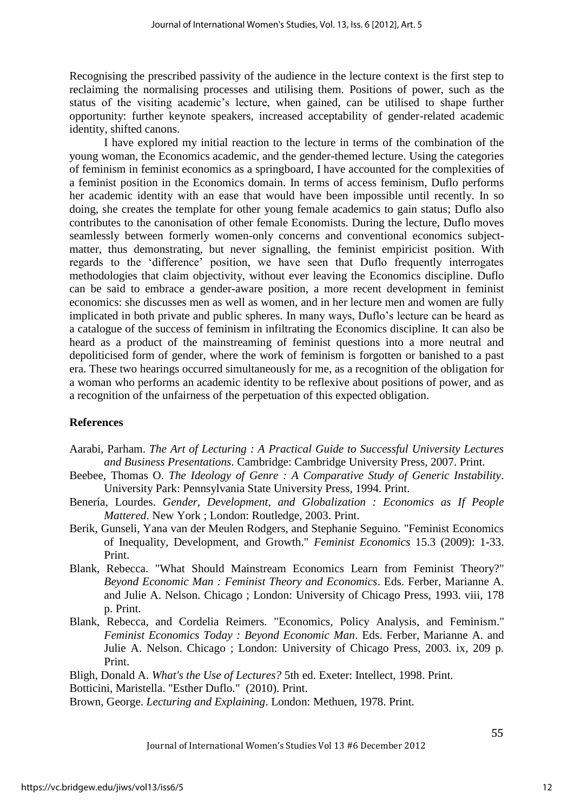Recognising the prescribed passivity of the audience in the lecture context is the first step to reclaiming the normalising processes and utilising them. Positions of power, such as the status of the visiting academic's lecture, when gained, can be utilised to shape further opportunity: further keynote speakers, increased acceptability of gender-related academic identity, shifted canons.

I have explored my initial reaction to the lecture in terms of the combination of the young woman, the Economics academic, and the gender-themed lecture. Using the categories of feminism in feminist economics as a springboard, I have accounted for the complexities of a feminist position in the Economics domain. In terms of access feminism, Duflo performs her academic identity with an ease that would have been impossible until recently. In so doing, she creates the template for other young female academics to gain status; Duflo also contributes to the canonisation of other female Economists. During the lecture, Duflo moves seamlessly between formerly women-only concerns and conventional economics subjectmatter, thus demonstrating, but never signalling, the feminist empiricist position. With regards to the "difference" position, we have seen that Duflo frequently interrogates methodologies that claim objectivity, without ever leaving the Economics discipline. Duflo can be said to embrace a gender-aware position, a more recent development in feminist economics: she discusses men as well as women, and in her lecture men and women are fully implicated in both private and public spheres. In many ways, Duflo"s lecture can be heard as a catalogue of the success of feminism in infiltrating the Economics discipline. It can also be heard as a product of the mainstreaming of feminist questions into a more neutral and depoliticised form of gender, where the work of feminism is forgotten or banished to a past era. These two hearings occurred simultaneously for me, as a recognition of the obligation for a woman who performs an academic identity to be reflexive about positions of power, and as a recognition of the unfairness of the perpetuation of this expected obligation.

## **References**

- <span id="page-12-5"></span>Aarabi, Parham. *The Art of Lecturing : A Practical Guide to Successful University Lectures and Business Presentations*. Cambridge: Cambridge University Press, 2007. Print.
- <span id="page-12-0"></span>Beebee, Thomas O. *The Ideology of Genre : A Comparative Study of Generic Instability*. University Park: Pennsylvania State University Press, 1994. Print.
- <span id="page-12-3"></span>Benería, Lourdes. *Gender, Development, and Globalization : Economics as If People Mattered*. New York ; London: Routledge, 2003. Print.
- <span id="page-12-4"></span>Berik, Gunseli, Yana van der Meulen Rodgers, and Stephanie Seguino. "Feminist Economics of Inequality, Development, and Growth." *Feminist Economics* 15.3 (2009): 1-33. Print.
- <span id="page-12-2"></span>Blank, Rebecca. "What Should Mainstream Economics Learn from Feminist Theory?" *Beyond Economic Man : Feminist Theory and Economics*. Eds. Ferber, Marianne A. and Julie A. Nelson. Chicago ; London: University of Chicago Press, 1993. viii, 178 p. Print.
- <span id="page-12-1"></span>Blank, Rebecca, and Cordelia Reimers. "Economics, Policy Analysis, and Feminism." *Feminist Economics Today : Beyond Economic Man*. Eds. Ferber, Marianne A. and Julie A. Nelson. Chicago ; London: University of Chicago Press, 2003. ix, 209 p. Print.

<span id="page-12-8"></span><span id="page-12-7"></span>Bligh, Donald A. *What's the Use of Lectures?* 5th ed. Exeter: Intellect, 1998. Print. Botticini, Maristella. "Esther Duflo." (2010). Print.

<span id="page-12-6"></span>Brown, George. *Lecturing and Explaining*. London: Methuen, 1978. Print.